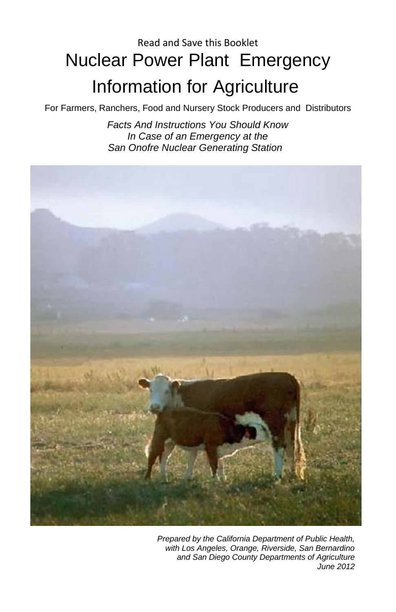# Read and Save this Booklet Nuclear Power Plant Emergency Information for Agriculture

#### For Farmers, Ranchers, Food and Nursery Stock Producers and Distributors

*Facts And Instructions You Should Know In Case of an Emergency at the San Onofre Nuclear Generating Station*



*Prepared by the California Department of Public Health, with Los Angeles, Orange, Riverside, San Bernardino and San Diego County Departments of Agriculture June 2012*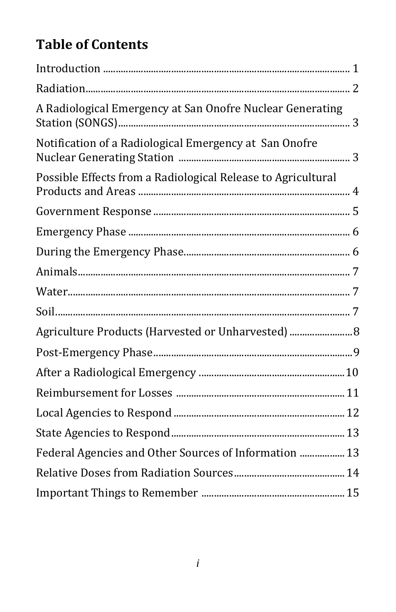# **Table of Contents**

| A Radiological Emergency at San Onofre Nuclear Generating    |  |
|--------------------------------------------------------------|--|
| Notification of a Radiological Emergency at San Onofre       |  |
| Possible Effects from a Radiological Release to Agricultural |  |
|                                                              |  |
|                                                              |  |
|                                                              |  |
|                                                              |  |
|                                                              |  |
|                                                              |  |
| Agriculture Products (Harvested or Unharvested)  8           |  |
|                                                              |  |
|                                                              |  |
|                                                              |  |
|                                                              |  |
|                                                              |  |
| Federal Agencies and Other Sources of Information  13        |  |
|                                                              |  |
|                                                              |  |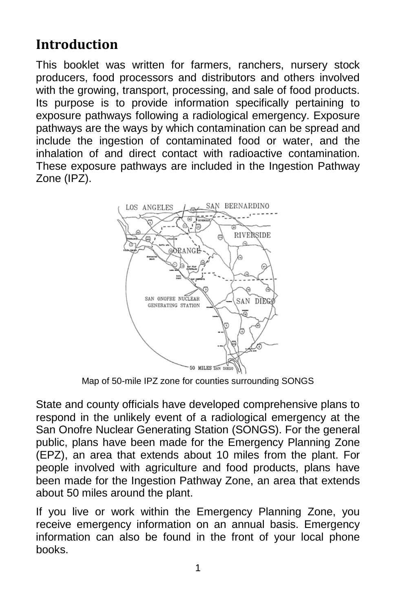## **Introduction**

This booklet was written for farmers, ranchers, nursery stock producers, food processors and distributors and others involved with the growing, transport, processing, and sale of food products. Its purpose is to provide information specifically pertaining to exposure pathways following a radiological emergency. Exposure pathways are the ways by which contamination can be spread and include the ingestion of contaminated food or water, and the inhalation of and direct contact with radioactive contamination. These exposure pathways are included in the Ingestion Pathway Zone (IPZ).



Map of 50-mile IPZ zone for counties surrounding SONGS

State and county officials have developed comprehensive plans to respond in the unlikely event of a radiological emergency at the San Onofre Nuclear Generating Station (SONGS). For the general public, plans have been made for the Emergency Planning Zone (EPZ), an area that extends about 10 miles from the plant. For people involved with agriculture and food products, plans have been made for the Ingestion Pathway Zone, an area that extends about 50 miles around the plant.

If you live or work within the Emergency Planning Zone, you receive emergency information on an annual basis. Emergency information can also be found in the front of your local phone books.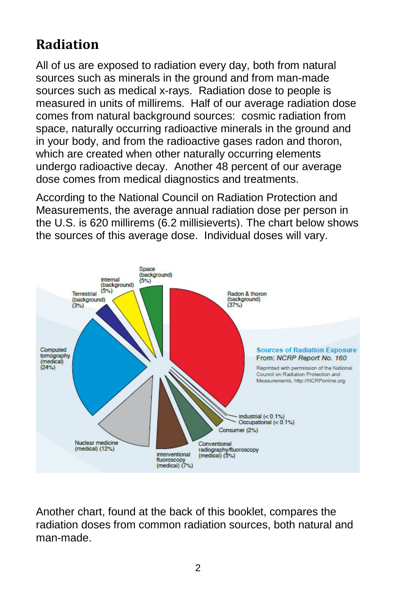## **Radiation**

All of us are exposed to radiation every day, both from natural sources such as minerals in the ground and from man-made sources such as medical x-rays. Radiation dose to people is measured in units of millirems. Half of our average radiation dose comes from natural background sources: cosmic radiation from space, naturally occurring radioactive minerals in the ground and in your body, and from the radioactive gases radon and thoron, which are created when other naturally occurring elements undergo radioactive decay. Another 48 percent of our average dose comes from medical diagnostics and treatments.

According to the National Council on Radiation Protection and Measurements, the average annual radiation dose per person in the U.S. is 620 millirems (6.2 millisieverts). The chart below shows the sources of this average dose. Individual doses will vary.



Another chart, found at the back of this booklet, compares the radiation doses from common radiation sources, both natural and man-made.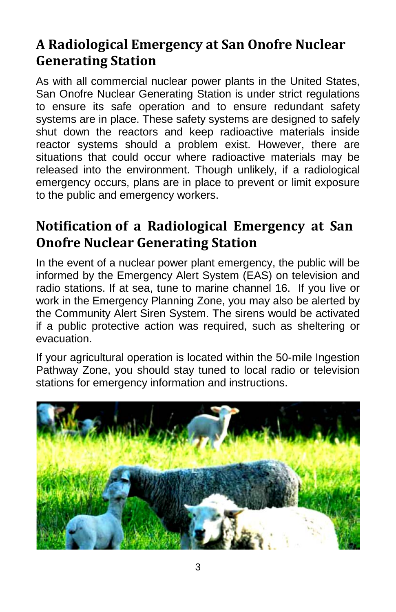## **A Radiological Emergency at San Onofre Nuclear Generating Station**

As with all commercial nuclear power plants in the United States, San Onofre Nuclear Generating Station is under strict regulations to ensure its safe operation and to ensure redundant safety systems are in place. These safety systems are designed to safely shut down the reactors and keep radioactive materials inside reactor systems should a problem exist. However, there are situations that could occur where radioactive materials may be released into the environment. Though unlikely, if a radiological emergency occurs, plans are in place to prevent or limit exposure to the public and emergency workers.

### **Notification of a Radiological Emergency at San Onofre Nuclear Generating Station**

In the event of a nuclear power plant emergency, the public will be informed by the Emergency Alert System (EAS) on television and radio stations. If at sea, tune to marine channel 16. If you live or work in the Emergency Planning Zone, you may also be alerted by the Community Alert Siren System. The sirens would be activated if a public protective action was required, such as sheltering or evacuation.

If your agricultural operation is located within the 50-mile Ingestion Pathway Zone, you should stay tuned to local radio or television stations for emergency information and instructions.

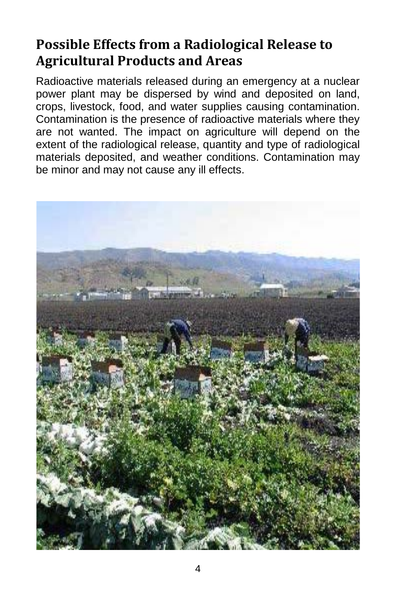## **Possible Effects from a Radiological Release to Agricultural Products and Areas**

Radioactive materials released during an emergency at a nuclear power plant may be dispersed by wind and deposited on land, crops, livestock, food, and water supplies causing contamination. Contamination is the presence of radioactive materials where they are not wanted. The impact on agriculture will depend on the extent of the radiological release, quantity and type of radiological materials deposited, and weather conditions. Contamination may be minor and may not cause any ill effects.

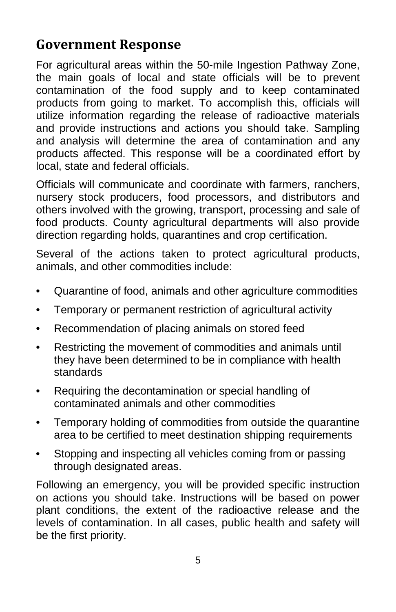#### **Government Response**

For agricultural areas within the 50-mile Ingestion Pathway Zone, the main goals of local and state officials will be to prevent contamination of the food supply and to keep contaminated products from going to market. To accomplish this, officials will utilize information regarding the release of radioactive materials and provide instructions and actions you should take. Sampling and analysis will determine the area of contamination and any products affected. This response will be a coordinated effort by local, state and federal officials.

Officials will communicate and coordinate with farmers, ranchers, nursery stock producers, food processors, and distributors and others involved with the growing, transport, processing and sale of food products. County agricultural departments will also provide direction regarding holds, quarantines and crop certification.

Several of the actions taken to protect agricultural products, animals, and other commodities include:

- Quarantine of food, animals and other agriculture commodities
- Temporary or permanent restriction of agricultural activity
- Recommendation of placing animals on stored feed
- Restricting the movement of commodities and animals until they have been determined to be in compliance with health standards
- Requiring the decontamination or special handling of contaminated animals and other commodities
- Temporary holding of commodities from outside the quarantine area to be certified to meet destination shipping requirements
- Stopping and inspecting all vehicles coming from or passing through designated areas.

Following an emergency, you will be provided specific instruction on actions you should take. Instructions will be based on power plant conditions, the extent of the radioactive release and the levels of contamination. In all cases, public health and safety will be the first priority.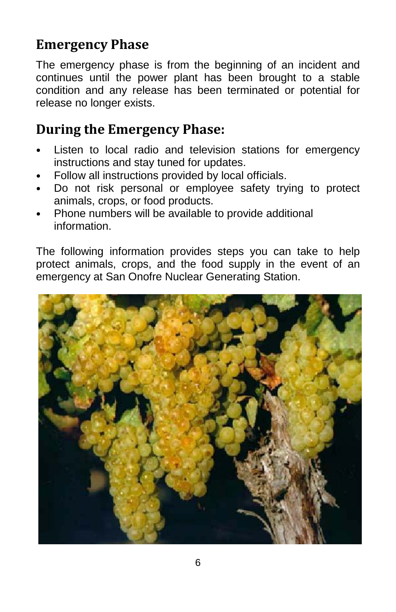## **Emergency Phase**

The emergency phase is from the beginning of an incident and continues until the power plant has been brought to a stable condition and any release has been terminated or potential for release no longer exists.

#### **During the Emergency Phase:**

- Listen to local radio and television stations for emergency instructions and stay tuned for updates.
- Follow all instructions provided by local officials.
- Do not risk personal or employee safety trying to protect animals, crops, or food products.
- Phone numbers will be available to provide additional information.

The following information provides steps you can take to help protect animals, crops, and the food supply in the event of an emergency at San Onofre Nuclear Generating Station.

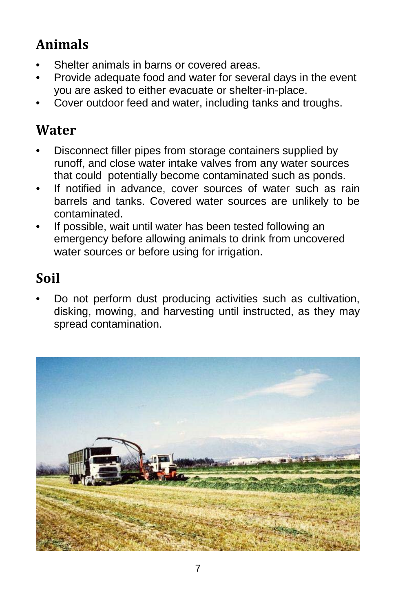# **Animals**

- Shelter animals in barns or covered areas.
- Provide adequate food and water for several days in the event you are asked to either evacuate or shelter-in-place.
- Cover outdoor feed and water, including tanks and troughs.

### **Water**

- Disconnect filler pipes from storage containers supplied by runoff, and close water intake valves from any water sources that could potentially become contaminated such as ponds.
- If notified in advance, cover sources of water such as rain barrels and tanks. Covered water sources are unlikely to be contaminated.
- If possible, wait until water has been tested following an emergency before allowing animals to drink from uncovered water sources or before using for irrigation.

## **Soil**

• Do not perform dust producing activities such as cultivation, disking, mowing, and harvesting until instructed, as they may spread contamination.

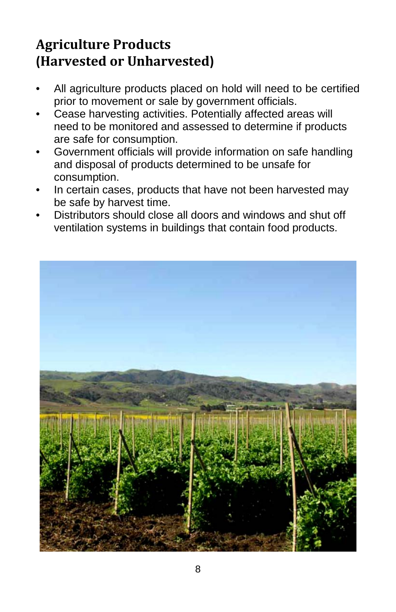## **Agriculture Products (Harvested or Unharvested)**

- All agriculture products placed on hold will need to be certified prior to movement or sale by government officials.
- Cease harvesting activities. Potentially affected areas will need to be monitored and assessed to determine if products are safe for consumption.
- Government officials will provide information on safe handling and disposal of products determined to be unsafe for consumption.
- In certain cases, products that have not been harvested may be safe by harvest time.
- Distributors should close all doors and windows and shut off ventilation systems in buildings that contain food products.

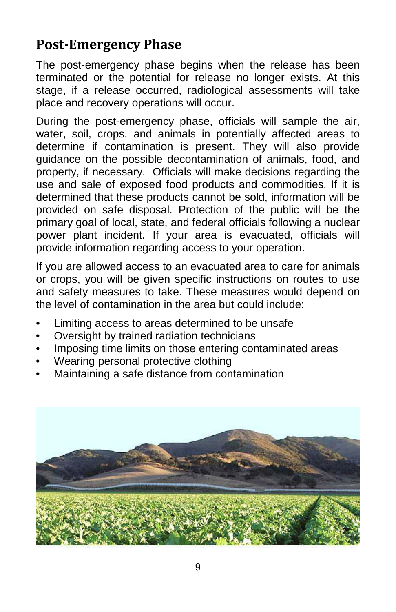#### **Post-Emergency Phase**

The post-emergency phase begins when the release has been terminated or the potential for release no longer exists. At this stage, if a release occurred, radiological assessments will take place and recovery operations will occur.

During the post-emergency phase, officials will sample the air, water, soil, crops, and animals in potentially affected areas to determine if contamination is present. They will also provide guidance on the possible decontamination of animals, food, and property, if necessary. Officials will make decisions regarding the use and sale of exposed food products and commodities. If it is determined that these products cannot be sold, information will be provided on safe disposal. Protection of the public will be the primary goal of local, state, and federal officials following a nuclear power plant incident. If your area is evacuated, officials will provide information regarding access to your operation.

If you are allowed access to an evacuated area to care for animals or crops, you will be given specific instructions on routes to use and safety measures to take. These measures would depend on the level of contamination in the area but could include:

- Limiting access to areas determined to be unsafe.
- Oversight by trained radiation technicians
- Imposing time limits on those entering contaminated areas
- Wearing personal protective clothing
- Maintaining a safe distance from contamination

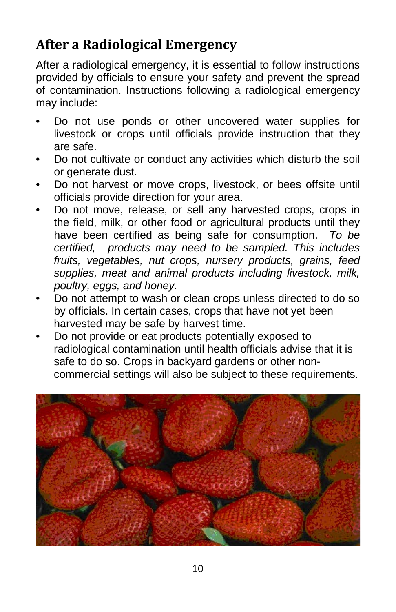## **After a Radiological Emergency**

After a radiological emergency, it is essential to follow instructions provided by officials to ensure your safety and prevent the spread of contamination. Instructions following a radiological emergency may include:

- Do not use ponds or other uncovered water supplies for livestock or crops until officials provide instruction that they are safe.
- Do not cultivate or conduct any activities which disturb the soil or generate dust.
- Do not harvest or move crops, livestock, or bees offsite until officials provide direction for your area.
- Do not move, release, or sell any harvested crops, crops in the field, milk, or other food or agricultural products until they have been certified as being safe for consumption. *To be certified, products may need to be sampled. This includes fruits, vegetables, nut crops, nursery products, grains, feed supplies, meat and animal products including livestock, milk, poultry, eggs, and honey.*
- Do not attempt to wash or clean crops unless directed to do so by officials. In certain cases, crops that have not yet been harvested may be safe by harvest time.
- Do not provide or eat products potentially exposed to radiological contamination until health officials advise that it is safe to do so. Crops in backyard gardens or other noncommercial settings will also be subject to these requirements.

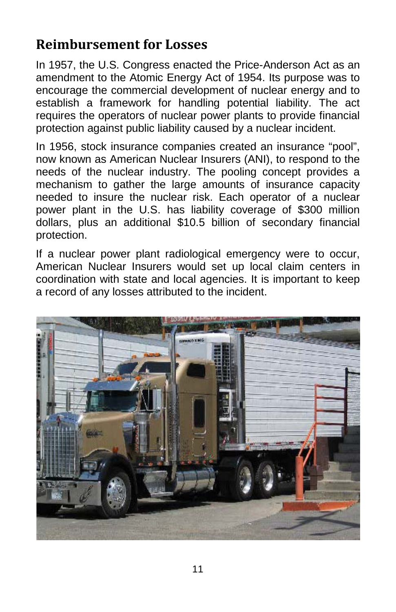#### **Reimbursement for Losses**

In 1957, the U.S. Congress enacted the Price-Anderson Act as an amendment to the Atomic Energy Act of 1954. Its purpose was to encourage the commercial development of nuclear energy and to establish a framework for handling potential liability. The act requires the operators of nuclear power plants to provide financial protection against public liability caused by a nuclear incident.

In 1956, stock insurance companies created an insurance "pool", now known as American Nuclear Insurers (ANI), to respond to the needs of the nuclear industry. The pooling concept provides a mechanism to gather the large amounts of insurance capacity needed to insure the nuclear risk. Each operator of a nuclear power plant in the U.S. has liability coverage of \$300 million dollars, plus an additional \$10.5 billion of secondary financial protection.

If a nuclear power plant radiological emergency were to occur, American Nuclear Insurers would set up local claim centers in coordination with state and local agencies. It is important to keep a record of any losses attributed to the incident.

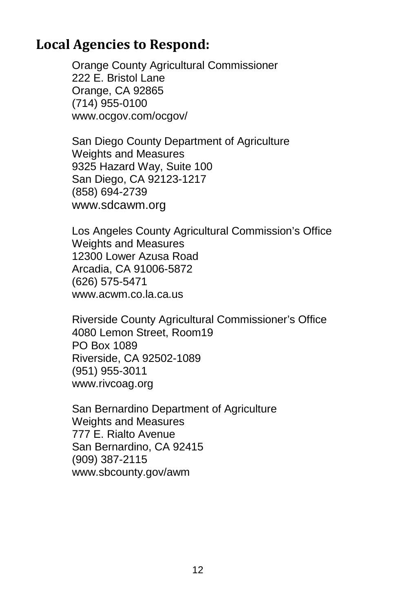#### **Local Agencies to Respond:**

Orange County Agricultural Commissioner 222 E. Bristol Lane Orange, CA 92865 (714) 955-0100 [www.ocgov.com/ocgov/](http://www.ocgov.com/ocgov/)

San Diego County Department of Agriculture Weights and Measures 9325 Hazard Way, Suite 100 San Diego, CA 92123-1217 (858) 694-2739 [www.sdcawm.org](http://www.sdcawm.org/)

Los Angeles County Agricultural Commission's Office Weights and Measures 12300 Lower Azusa Road Arcadia, CA 91006-5872 (626) 575-5471 www.acwm.co.la.ca.us

Riverside County Agricultural Commissioner's Office 4080 Lemon Street, Room19 PO Box 1089 Riverside, CA 92502-1089 (951) 955-3011 www.rivcoag.org

San Bernardino Department of Agriculture Weights and Measures 777 E. Rialto Avenue San Bernardino, CA 92415 (909) 387-2115 www.sbcounty.gov/awm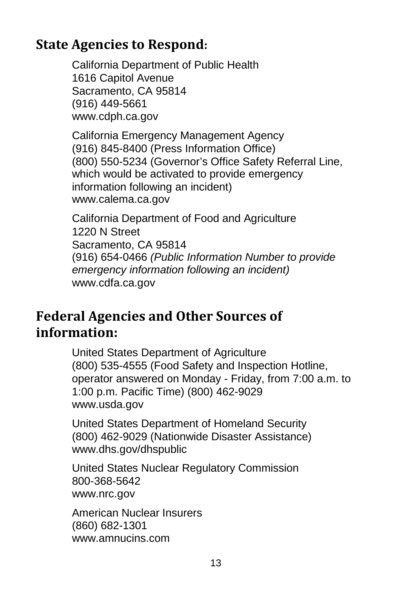#### **State Agencies to Respond:**

California Department of Public Health 1616 Capitol Avenue Sacramento, CA 95814 (916) 449-5661 [www.cdph.ca.gov](http://www.cdph.ca.gov/)

California Emergency Management Agency (916) 845-8400 (Press Information Office) (800) 550-5234 (Governor's Office Safety Referral Line, which would be activated to provide emergency information following an incident) [www.calema.ca.gov](http://www.calema.ca.gov/)

California Department of Food and Agriculture 1220 N Street Sacramento, CA 95814 (916) 654-0466 *(Public Information Number to provide emergency information following an incident)* [www.cdfa.ca.gov](http://www.cdfa.ca.gov/)

#### **Federal Agencies and Other Sources of information:**

United States Department of Agriculture (800) 535-4555 (Food Safety and Inspection Hotline, operator answered on Monday - Friday, from 7:00 a.m. to 1:00 p.m. Pacific Time) (800) 462-9029 [www.usda.gov](http://www.usda.gov/)

United States Department of Homeland Security (800) 462-9029 (Nationwide Disaster Assistance) [www.dhs.gov/dhspublic](http://www.dhs.gov/dhspublic)

United States Nuclear Regulatory Commission 800-368-5642 [www.nrc.gov](http://www.nrc.gov/)

American Nuclear Insurers (860) 682-1301 [www.amnucins.com](http://www.amnucins.com/)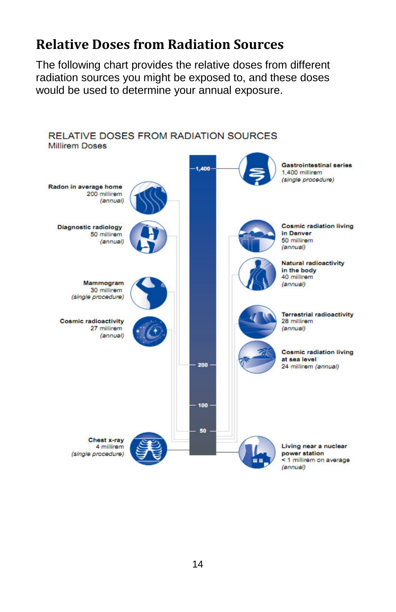#### **Relative Doses from Radiation Sources**

The following chart provides the relative doses from different radiation sources you might be exposed to, and these doses would be used to determine your annual exposure.